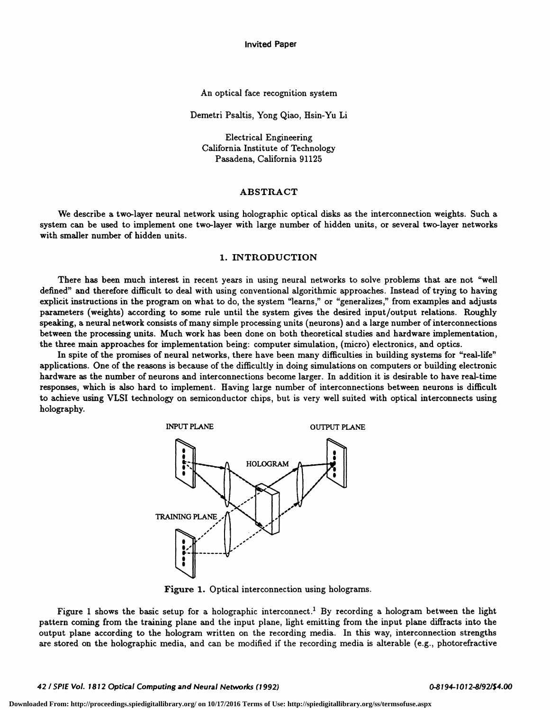Invited Paper

#### An optical face recognition system

Demetri Psaltis, Yong Qiao, Hsin-Yu Li

Electrical Engineering California Institute of Technology Pasadena, California 91125

#### ABSTRACT

We describe a two-layer neural network using holographic optical disks as the interconnection weights. Such a system can be used to implement one two-layer with large number of hidden units, or several two-layer networks with smaller number of hidden units.

### 1. INTRODUCTION

There has been much interest in recent years in using neural networks to solve problems that are not "well defined" and therefore difficult to deal with using conventional algorithmic approaches. Instead of trying to having explicit instructions in the program on what to do, the system "learns," or "generalizes," from examples and adjusts parameters (weights) according to some rule until the system gives the desired input/output relations. Roughly speaking, a neural network consists of many simple processing units (neurons) and a large number of interconnections between the processing units. Much work has been done on both theoretical studies and hardware implementation, the three main approaches for implementation being: computer simulation, (micro) electronics, and optics.

In spite of the promises of neural networks, there have been many difficulties in building systems for "real-life" applications. One of the reasons is because of the difficultly in doing simulations on computers or building electronic hardware as the number of neurons and interconnections become larger. In addition it is desirable to have real-time responses, which is also hard to implement. Having large number of interconnections between neurons is difficult to achieve using VLSI technology on semiconductor chips, but is very well suited with optical interconnects using holography.



Figure 1. Optical interconnection using holograms.

Figure 1 shows the basic setup for a holographic interconnect.<sup>1</sup> By recording a hologram between the light pattern coming from the training plane and the input plane, light emitting from the input plane diffracts into the output plane according to the hologram written on the recording media. In this way, interconnection strengths are stored on the holographic media, and can be modified if the recording media is alterable (e.g., photorefractive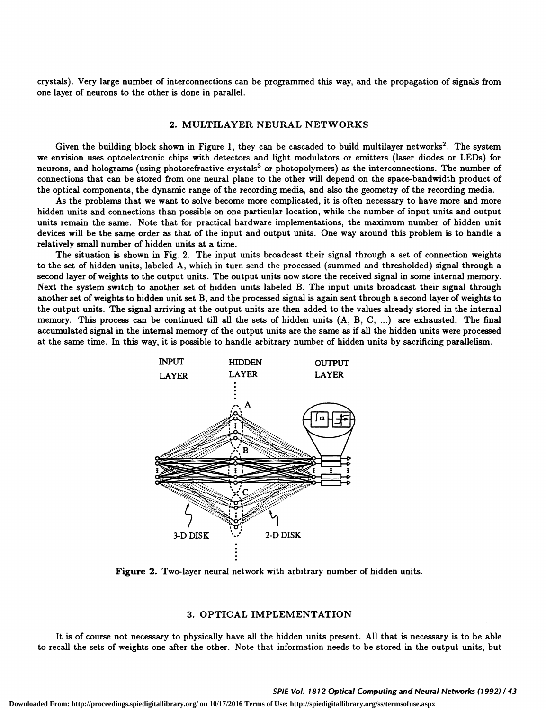crystals). Very large number of interconnections can be programmed this way, and the propagation of signals from one layer of neurons to the other is done in parallel.

#### 2. MULTILAYER NEURAL NETWORKS

Given the building block shown in Figure 1, they can be cascaded to build multilayer networks<sup>2</sup>. The system we envision uses optoelectronic chips with detectors and light modulators or emitters (laser diodes or LEDs) for neurons, and holograms (using photorefractive crystals<sup>3</sup> or photopolymers) as the interconnections. The number of connections that can be stored from one neural plane to the other will depend on the space-bandwidth product of the optical components, the dynamic range of the recording media, and also the geometry of the recording media.

As the problems that we want to solve become more complicated, it is often necessary to have more and more hidden units and connections than possible on one particular location, while the number of input units and output units remain the same. Note that for practical hardware implementations, the maximum number of hidden unit devices will be the same order as that of the input and output units. One way around this problem is to handle a relatively small number of hidden units at a time.

The situation is shown in Fig. 2. The input units broadcast their signal through a set of connection weights to the set of hidden units, labeled A, which in turn send the processed (summed and thresholded) signal through a second layer of weights to the output units. The output units now store the received signal in some internal memory. Next the system switch to another set of hidden units labeled B. The input units broadcast their signal through another set of weights to hidden unit set B, and the processed signal is again sent through a second layer of weights to the output units. The signal arriving at the output units are then added to the values already stored in the internal memory. This process can be continued till all the sets of hidden units (A, B, C, ...) are exhausted. The final accumulated signal in the internal memory of the output units are the same as if all the hidden units were processed at the same time. In this way, it is possible to handle arbitrary number of hidden units by sacrificing parallelism.



Figure 2. Two-layer neural network with arbitrary number of hidden units.

# 3. OPTICAL IMPLEMENTATION

It is of course not necessary to physically have all the hidden units present. All that is necessary is to be able to recall the sets of weights one after the other. Note that information needs to be stored in the output units, but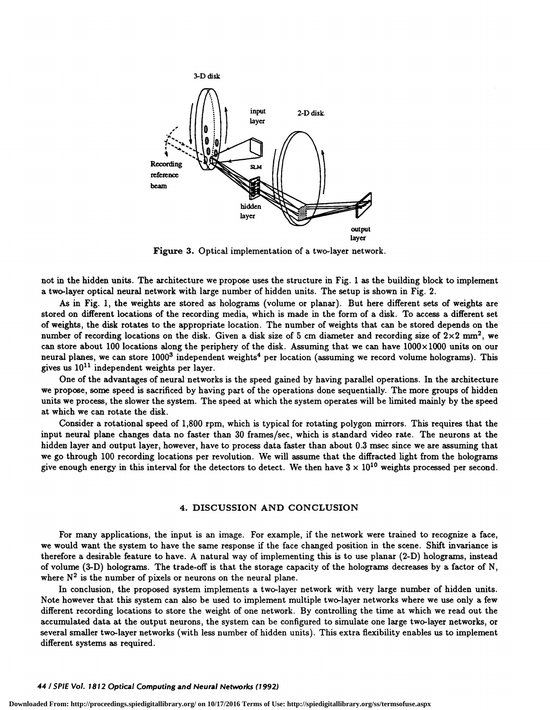

Figure 3. Optical implementation of a two-layer network.

not in the hidden units. The architecture we propose uses the structure in Fig. 1 as the building block to implement a two-layer optical neural network with large number of hidden units. The setup is shown in Fig. 2.

As in Fig. 1, the weights are stored as holograms (volume or planar). But here different sets of weights are stored on different locations of the recording media, which is made in the form of a disk. To access a different set of weights, the disk rotates to the appropriate location. The number of weights that can be stored depends on the number of recording locations on the disk. Given a disk size of 5 cm diameter and recording size of  $2\times2$  mm<sup>2</sup>, we can store about 100 locations along the periphery of the disk. Assuming that we can have  $1000 \times 1000$  units on our neural planes, we can store  $1000<sup>3</sup>$  independent weights<sup>4</sup> per location (assuming we record volume holograms). This gives us  $10^{11}$  independent weights per layer.

One of the advantages of neural networks is the speed gained by having parallel operations. In the architecture we propose, some speed is sacrificed by having part of the operations done sequentially. The more groups of hidden units we process, the slower the system. The speed at which the system operates will be limited mainly by the speed at which we can rotate the disk.

Consider a rotational speed of 1,800 rpm, which is typical for rotating polygon mirrors. This requires that the input neural plane changes data no faster than 30 frames/sec, which is standard video rate. The neurons at the hidden layer and output layer, however, have to process data faster than about 0.3 msec since we are assuming that we go through 100 recording locations per revolution. We will assume that the diffracted light from the holograms give enough energy in this interval for the detectors to detect. We then have  $3 \times 10^{10}$  weights processed per second.

## 4. DISCUSSION AND CONCLUSION

For many applications, the input is an image. For example, if the network were trained to recognize a face, we would want the system to have the same response if the face changed position in the scene. Shift invariance is therefore a desirable feature to have. A natural way of implementing this is to use planar (2-D) holograms, instead of volume (3-D) holograms. The trade-off is that the storage capacity of the holograms decreases by a factor of N, where  $N^2$  is the number of pixels or neurons on the neural plane.

In conclusion, the proposed system implements a two-layer network with very large number of hidden units. Note however that this system can also be used to implement multiple two-layer networks where we use only a few different recording locations to store the weight of one network. By controlling the time at which we read out the accumulated data at the output neurons, the system can be configured to simulate one large two-layer networks, or several smaller two-layer networks (with less number of hidden units). This extra flexibility enables us to implement different systems as required.